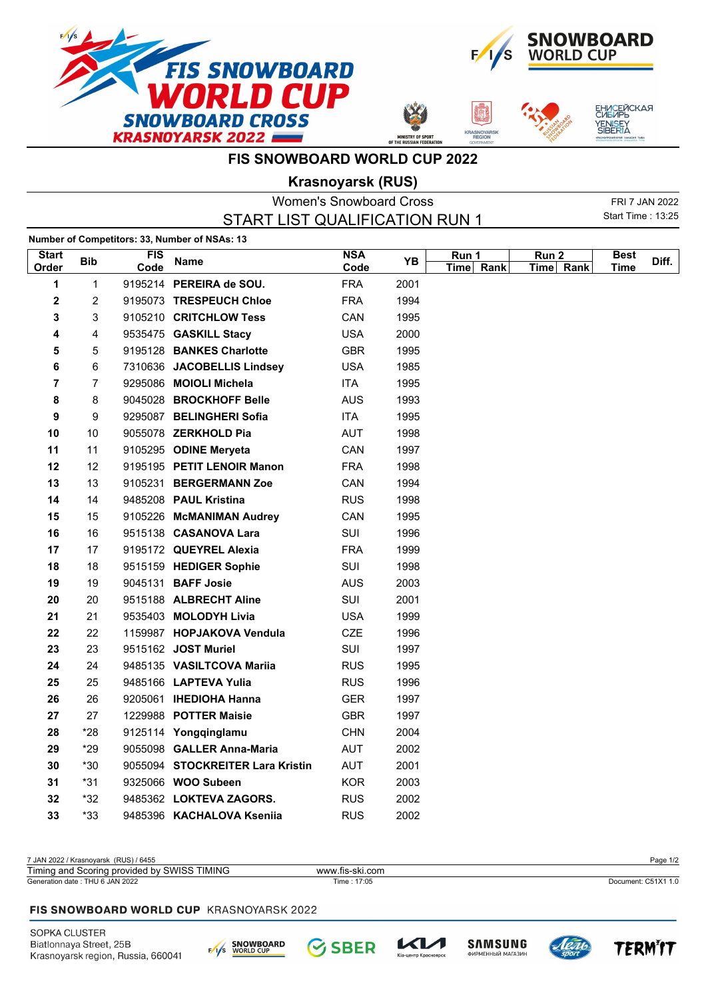







## **FIS SNOWBOARD WORLD CUP 2022**

**Krasnoyarsk (RUS)**

|                         |                |                    |                                               | <b>Women's Snowboard Cross</b> |      |                    |                    |                          | FRI 7 JAN 2022 |
|-------------------------|----------------|--------------------|-----------------------------------------------|--------------------------------|------|--------------------|--------------------|--------------------------|----------------|
|                         |                |                    | START LIST QUALIFICATION RUN 1                |                                |      |                    |                    | <b>Start Time: 13:25</b> |                |
|                         |                |                    | Number of Competitors: 33, Number of NSAs: 13 |                                |      |                    |                    |                          |                |
| <b>Start</b><br>Order   | <b>Bib</b>     | <b>FIS</b><br>Code | <b>Name</b>                                   | <b>NSA</b><br>Code             | YB   | Run 1<br>Time Rank | Run 2<br>Time Rank | <b>Best</b><br>Time      | Diff.          |
| 1                       | $\mathbf 1$    |                    | 9195214 PEREIRA de SOU.                       | <b>FRA</b>                     | 2001 |                    |                    |                          |                |
| 2                       | 2              |                    | 9195073 TRESPEUCH Chloe                       | <b>FRA</b>                     | 1994 |                    |                    |                          |                |
| 3                       | 3              |                    | 9105210 CRITCHLOW Tess                        | CAN                            | 1995 |                    |                    |                          |                |
| 4                       | 4              |                    | 9535475 GASKILL Stacy                         | <b>USA</b>                     | 2000 |                    |                    |                          |                |
| 5                       | 5              |                    | 9195128 BANKES Charlotte                      | <b>GBR</b>                     | 1995 |                    |                    |                          |                |
| 6                       | 6              |                    | 7310636 JACOBELLIS Lindsey                    | <b>USA</b>                     | 1985 |                    |                    |                          |                |
| $\overline{\mathbf{r}}$ | $\overline{7}$ |                    | 9295086 MOIOLI Michela                        | ITA                            | 1995 |                    |                    |                          |                |
| 8                       | 8              |                    | 9045028 BROCKHOFF Belle                       | <b>AUS</b>                     | 1993 |                    |                    |                          |                |
| 9                       | 9              |                    | 9295087 BELINGHERI Sofia                      | ITA                            | 1995 |                    |                    |                          |                |
| 10                      | 10             |                    | 9055078 ZERKHOLD Pia                          | <b>AUT</b>                     | 1998 |                    |                    |                          |                |
| 11                      | 11             |                    | 9105295 ODINE Meryeta                         | CAN                            | 1997 |                    |                    |                          |                |
| 12                      | 12             |                    | 9195195 PETIT LENOIR Manon                    | <b>FRA</b>                     | 1998 |                    |                    |                          |                |
| 13                      | 13             |                    | 9105231 BERGERMANN Zoe                        | CAN                            | 1994 |                    |                    |                          |                |
| 14                      | 14             |                    | 9485208 PAUL Kristina                         | <b>RUS</b>                     | 1998 |                    |                    |                          |                |
| 15                      | 15             |                    | 9105226 McMANIMAN Audrey                      | CAN                            | 1995 |                    |                    |                          |                |
| 16                      | 16             |                    | 9515138 CASANOVA Lara                         | SUI                            | 1996 |                    |                    |                          |                |
| 17                      | 17             |                    | 9195172 QUEYREL Alexia                        | <b>FRA</b>                     | 1999 |                    |                    |                          |                |
| 18                      | 18             |                    | 9515159 HEDIGER Sophie                        | SUI                            | 1998 |                    |                    |                          |                |
| 19                      | 19             |                    | 9045131 <b>BAFF Josie</b>                     | <b>AUS</b>                     | 2003 |                    |                    |                          |                |
| 20                      | 20             |                    | 9515188 ALBRECHT Aline                        | SUI                            | 2001 |                    |                    |                          |                |
| 21                      | 21             |                    | 9535403 MOLODYH Livia                         | <b>USA</b>                     | 1999 |                    |                    |                          |                |
| 22                      | 22             |                    | 1159987 HOPJAKOVA Vendula                     | CZE                            | 1996 |                    |                    |                          |                |
| 23                      | 23             |                    | 9515162 JOST Muriel                           | SUI                            | 1997 |                    |                    |                          |                |
| 24                      | 24             |                    | 9485135 VASILTCOVA Mariia                     | <b>RUS</b>                     | 1995 |                    |                    |                          |                |
| 25                      | 25             |                    | 9485166 LAPTEVA Yulia                         | <b>RUS</b>                     | 1996 |                    |                    |                          |                |
| 26                      | 26             |                    | 9205061 IHEDIOHA Hanna                        | <b>GER</b>                     | 1997 |                    |                    |                          |                |
| 27                      | 27             |                    | 1229988 POTTER Maisie                         | <b>GBR</b>                     | 1997 |                    |                    |                          |                |
| 28                      | *28            |                    | 9125114 Yongqinglamu                          | <b>CHN</b>                     | 2004 |                    |                    |                          |                |
| 29                      | $*29$          |                    | 9055098 GALLER Anna-Maria                     | <b>AUT</b>                     | 2002 |                    |                    |                          |                |
| 30                      | $*30$          |                    | 9055094 STOCKREITER Lara Kristin              | <b>AUT</b>                     | 2001 |                    |                    |                          |                |
| 31                      | $*31$          |                    | 9325066 WOO Subeen                            | <b>KOR</b>                     | 2003 |                    |                    |                          |                |
| 32                      | *32            |                    | 9485362 LOKTEVA ZAGORS.                       | <b>RUS</b>                     | 2002 |                    |                    |                          |                |
| 33                      | $*33$          |                    | 9485396 KACHALOVA Kseniia                     | <b>RUS</b>                     | 2002 |                    |                    |                          |                |

| 7 JAN 2022 / Krasnovarsk (RUS) / 6455           |                 | Page 1/2            |
|-------------------------------------------------|-----------------|---------------------|
| Timing and Scoring provided by SWISS TIMING     | www.fis-ski.com |                     |
| Generation date: THU 6 JAN 2022                 | Time: 17:05     | Document: C51X1 1.0 |
|                                                 |                 |                     |
| <b>FIS SNOWBOARD WORLD CUP KRASNOYARSK 2022</b> |                 |                     |









**TERMIT**